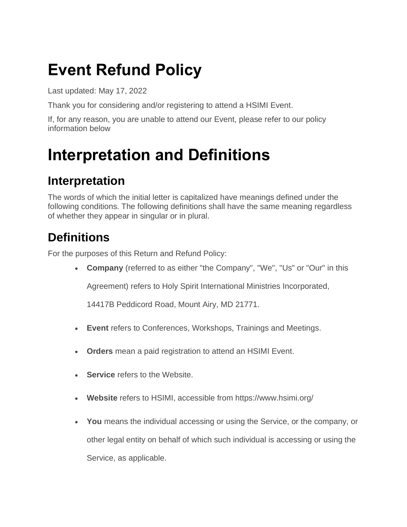## **Event Refund Policy**

Last updated: May 17, 2022

Thank you for considering and/or registering to attend a HSIMI Event.

If, for any reason, you are unable to attend our Event, please refer to our policy information below

### **Interpretation and Definitions**

#### **Interpretation**

The words of which the initial letter is capitalized have meanings defined under the following conditions. The following definitions shall have the same meaning regardless of whether they appear in singular or in plural.

### **Definitions**

For the purposes of this Return and Refund Policy:

• **Company** (referred to as either "the Company", "We", "Us" or "Our" in this

Agreement) refers to Holy Spirit International Ministries Incorporated,

14417B Peddicord Road, Mount Airy, MD 21771.

- **Event** refers to Conferences, Workshops, Trainings and Meetings.
- **Orders** mean a paid registration to attend an HSIMI Event.
- **Service** refers to the Website.
- **Website** refers to HSIMI, accessible from <https://www.hsimi.org/>
- **You** means the individual accessing or using the Service, or the company, or other legal entity on behalf of which such individual is accessing or using the Service, as applicable.